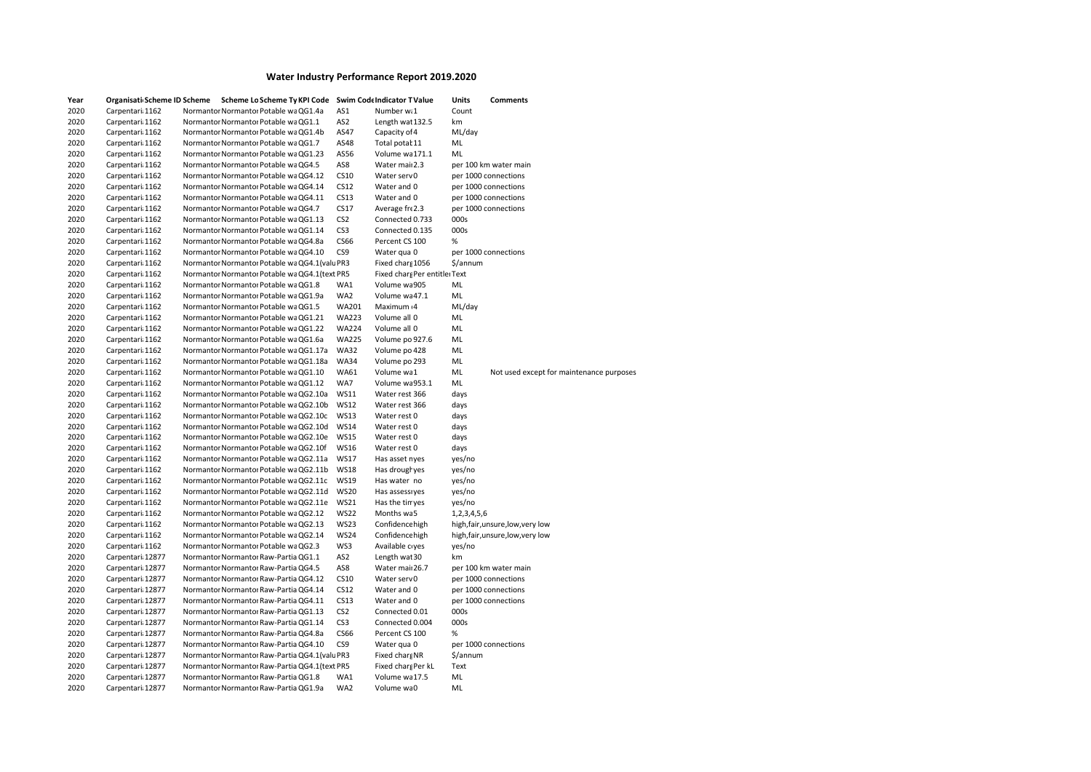| Year<br>2020 | Organisati Scheme ID Scheme<br>Carpentari: 1162 | Scheme Lo Scheme Ty KPI Code Swim Code Indicator T Value<br>Normantor Normantor Potable wa QG1.4a | AS1             | Number w.1                    | Units<br>Count | Comments                                 |
|--------------|-------------------------------------------------|---------------------------------------------------------------------------------------------------|-----------------|-------------------------------|----------------|------------------------------------------|
| 2020         | Carpentari: 1162                                | Normantor Normantor Potable wa QG1.1                                                              | AS <sub>2</sub> | Length wat 132.5              | km             |                                          |
| 2020         | Carpentari 1162                                 | Normantor Normantor Potable waQG1.4b                                                              | AS47            | Capacity of 4                 | ML/day         |                                          |
| 2020         | Carpentari: 1162                                | Normantor Normantor Potable wa QG1.7                                                              | AS48            | Total potał 11                | ML             |                                          |
| 2020         | Carpentari: 1162                                | Normantor Normantor Potable wa QG1.23                                                             | AS56            | Volume wa 171.1               | ML             |                                          |
| 2020         | Carpentari: 1162                                | Normantor Normantor Potable wa QG4.5                                                              | AS8             | Water mail 2.3                |                | per 100 km water main                    |
| 2020         | Carpentari: 1162                                | Normantor Normantor Potable wa QG4.12                                                             | CS10            | Water serv 0                  |                | per 1000 connections                     |
| 2020         | Carpentari 1162                                 | Normantor Normantor Potable wa QG4.14                                                             | CS12            | Water and 0                   |                | per 1000 connections                     |
| 2020         | Carpentari: 1162                                | Normantor Normantor Potable wa QG4.11                                                             | CS13            | Water and 0                   |                | per 1000 connections                     |
| 2020         | Carpentari: 1162                                | Normantor Normantor Potable wa QG4.7                                                              | CS17            | Average fre2.3                |                | per 1000 connections                     |
|              |                                                 |                                                                                                   |                 |                               |                |                                          |
| 2020         | Carpentari: 1162                                | Normantor Normantor Potable wa QG1.13                                                             | CS <sub>2</sub> | Connected 0.733               | 000s           |                                          |
| 2020         | Carpentari: 1162                                | Normantor Normantor Potable wa QG1.14                                                             | CS <sub>3</sub> | Connected 0.135               | 000s           |                                          |
| 2020         | Carpentari: 1162                                | Normantor Normantor Potable wa QG4.8a                                                             | <b>CS66</b>     | Percent CS 100                | %              |                                          |
| 2020         | Carpentari: 1162                                | Normantor Normantor Potable wa QG4.10                                                             | CS9             | Water qua 0                   |                | per 1000 connections                     |
| 2020         | Carpentari: 1162                                | Normantor Normantor Potable wa QG4.1 (valu PR3                                                    |                 | Fixed chars 1056              | \$/annum       |                                          |
| 2020         | Carpentari: 1162                                | Normantor Normantor Potable wa QG4.1(text PR5                                                     |                 | Fixed chars Per entitle: Text |                |                                          |
| 2020         | Carpentari: 1162                                | Normantor Normantor Potable wa QG1.8                                                              | WA1             | Volume wa 905                 | ML             |                                          |
| 2020         | Carpentari: 1162                                | Normantor Normantor Potable wa QG1.9a                                                             | WA2             | Volume wa 47.1                | ML             |                                          |
| 2020         | Carpentari: 1162                                | Normantor Normantor Potable wa QG1.5                                                              | <b>WA201</b>    | Maximum 4                     | ML/day         |                                          |
| 2020         | Carpentari: 1162                                | Normantor Normantor Potable wa QG1.21                                                             | <b>WA223</b>    | Volume all 0                  | ML             |                                          |
| 2020         | Carpentari: 1162                                | Normantor Normantor Potable wa QG1.22                                                             | <b>WA224</b>    | Volume all 0                  | ML             |                                          |
| 2020         | Carpentari: 1162                                | Normantor Normantor Potable wa QG1.6a                                                             | <b>WA225</b>    | Volume po 927.6               | ML             |                                          |
| 2020         | Carpentari: 1162                                | Normantor Normantor Potable wa QG1.17a                                                            | <b>WA32</b>     | Volume po 428                 | ML             |                                          |
| 2020         | Carpentari: 1162                                | Normantor Normantor Potable wa QG1.18a                                                            | <b>WA34</b>     | Volume po 293                 | ML             |                                          |
| 2020         | Carpentari: 1162                                | Normantor Normantor Potable wa QG1.10                                                             | <b>WA61</b>     | Volume wa 1                   | ML             | Not used except for maintenance purposes |
| 2020         | Carpentari: 1162                                | Normantor Normantor Potable wa QG1.12                                                             | WA7             | Volume wa953.1                | ML             |                                          |
| 2020         | Carpentari: 1162                                | Normantor Normantor Potable wa QG2.10a                                                            | <b>WS11</b>     | Water rest 366                | days           |                                          |
| 2020         | Carpentari 1162                                 | Normantor Normantor Potable wa QG2.10b                                                            | <b>WS12</b>     | Water rest 366                | days           |                                          |
| 2020         | Carpentari: 1162                                | Normantor Normantor Potable wa QG2.10c                                                            | <b>WS13</b>     | Water rest 0                  | days           |                                          |
| 2020         | Carpentari: 1162                                | Normantor Normantor Potable wa QG2.10d                                                            | <b>WS14</b>     | Water rest 0                  | days           |                                          |
| 2020         | Carpentari: 1162                                | Normantor Normantor Potable wa QG2.10e                                                            | <b>WS15</b>     | Water rest 0                  | days           |                                          |
| 2020         | Carpentari: 1162                                | Normantor Normantor Potable wa QG2.10f                                                            | <b>WS16</b>     | Water rest 0                  | days           |                                          |
| 2020         | Carpentari: 1162                                | Normantor Normantor Potable wa QG2.11a                                                            | <b>WS17</b>     | Has asset nyes                | yes/no         |                                          |
| 2020         | Carpentari: 1162                                | Normantor Normantor Potable wa QG2.11b                                                            | <b>WS18</b>     | Has droughyes                 | yes/no         |                                          |
| 2020         | Carpentari: 1162                                | Normantor Normantor Potable wa QG2.11c                                                            | <b>WS19</b>     | Has water no                  | yes/no         |                                          |
| 2020         | Carpentari: 1162                                | Normantor Normantor Potable wa QG2.11d                                                            | <b>WS20</b>     | Has assessiyes                | yes/no         |                                          |
| 2020         | Carpentari: 1162                                | Normantor Normantor Potable wa QG2.11e                                                            | <b>WS21</b>     | Has the tin yes               | yes/no         |                                          |
| 2020         | Carpentari 1162                                 | Normantor Normantor Potable wa QG2.12                                                             | <b>WS22</b>     | Months wa5                    | 1,2,3,4,5,6    |                                          |
| 2020         | Carpentari: 1162                                | Normantor Normantor Potable wa QG2.13                                                             | <b>WS23</b>     | Confidence high               |                | high, fair, unsure, low, very low        |
| 2020         | Carpentari 1162                                 | Normantor Normantor Potable wa QG2.14                                                             | <b>WS24</b>     | Confidence high               |                | high, fair, unsure, low, very low        |
| 2020         | Carpentari: 1162                                | Normantor Normantor Potable wa QG2.3                                                              | WS3             | Available c yes               | yes/no         |                                          |
| 2020         | Carpentari: 12877                               | Normantor Normantor Raw-Partia QG1.1                                                              | AS <sub>2</sub> | Length wat 30                 | km             |                                          |
| 2020         | Carpentari: 12877                               | Normantor Normantor Raw-Partia QG4.5                                                              | AS8             | Water mail 26.7               |                | per 100 km water main                    |
| 2020         | Carpentari: 12877                               | Normantor Normantor Raw-Partia QG4.12                                                             | CS10            | Water serv 0                  |                | per 1000 connections                     |
| 2020         | Carpentari: 12877                               | Normantor Normantor Raw-Partia QG4.14                                                             | CS12            | Water and 0                   |                | per 1000 connections                     |
| 2020         | Carpentari: 12877                               | Normantor Normantor Raw-Partia QG4.11                                                             | CS13            | Water and 0                   |                | per 1000 connections                     |
| 2020         | Carpentari: 12877                               | Normantor Normantor Raw-Partia QG1.13                                                             | CS <sub>2</sub> | Connected 0.01                | 000s           |                                          |
| 2020         | Carpentari: 12877                               | Normantor Normantor Raw-Partia QG1.14                                                             | CS <sub>3</sub> | Connected 0.004               | 000s           |                                          |
| 2020         | Carpentari: 12877                               | Normantor Normantor Raw-Partia QG4.8a                                                             | <b>CS66</b>     | Percent CS 100                | %              |                                          |
| 2020         | Carpentari: 12877                               | Normantor Normantor Raw-Partia QG4.10                                                             | CS <sub>9</sub> | Water qua 0                   |                | per 1000 connections                     |
| 2020         | Carpentari: 12877                               | Normantor Normantor Raw-Partia QG4.1 (valu PR3                                                    |                 | Fixed chars NR                | \$/annum       |                                          |
| 2020         | Carpentari: 12877                               | Normantor Normantor Raw-Partia QG4.1 (text PR5                                                    |                 | Fixed charg Per kL            | Text           |                                          |
| 2020         | Carpentari: 12877                               | Normantor Normantor Raw-Partia QG1.8                                                              | WA1             | Volume wa 17.5                | ML             |                                          |
| 2020         | Carpentari: 12877                               | Normantor Normantor Raw-Partia QG1.9a                                                             | WA2             | Volume wa0                    | ML             |                                          |
|              |                                                 |                                                                                                   |                 |                               |                |                                          |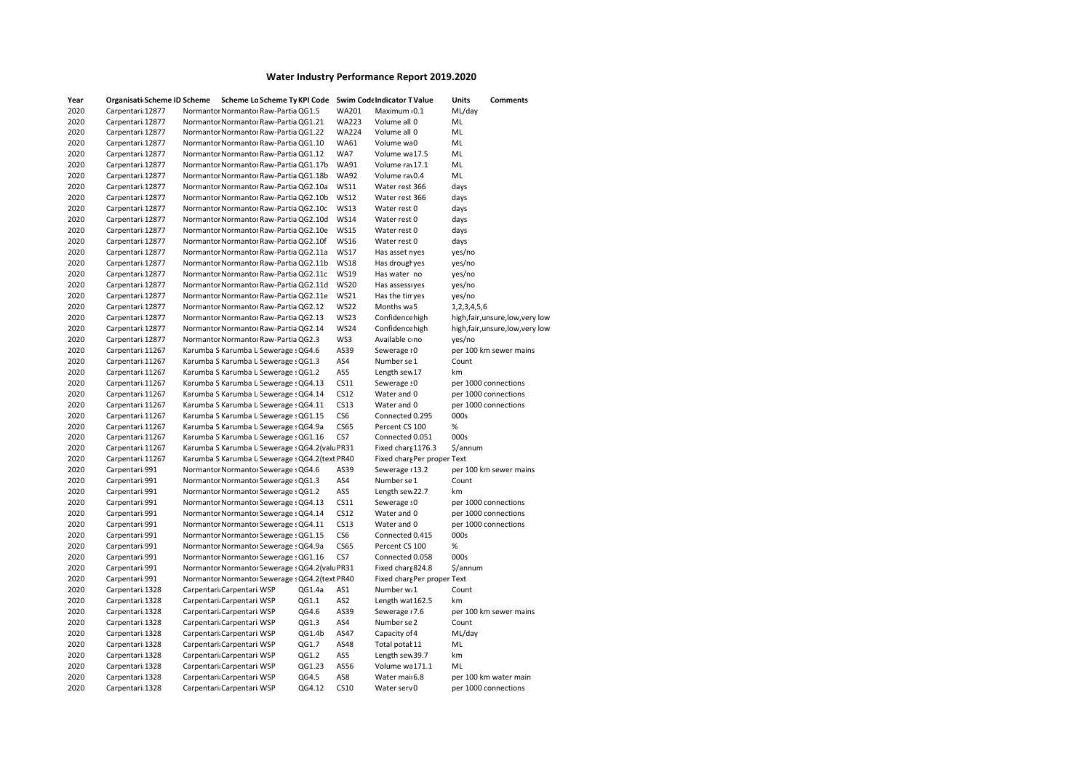| Year | Organisati Scheme ID Scheme | Scheme Lo Scheme Ty KPI Code                    |        |              | <b>Swim Code Indicator T Value</b> | Units       | <b>Comments</b>                   |
|------|-----------------------------|-------------------------------------------------|--------|--------------|------------------------------------|-------------|-----------------------------------|
| 2020 | Carpentari: 12877           | Normantor Normantor Raw-Partia QG1.5            |        | <b>WA201</b> | Maximum 0.1                        | ML/day      |                                   |
| 2020 | Carpentari: 12877           | Normantor Normantor Raw-Partia QG1.21           |        | <b>WA223</b> | Volume all 0                       | ML          |                                   |
| 2020 | Carpentari: 12877           | Normantor Normantor Raw-Partia QG1.22           |        | <b>WA224</b> | Volume all 0                       | ML          |                                   |
| 2020 | Carpentari: 12877           | Normantor Normantor Raw-Partia QG1.10           |        | <b>WA61</b>  | Volume wa0                         | ML          |                                   |
| 2020 | Carpentari: 12877           | Normantor Normantor Raw-Partia QG1.12           |        | WA7          | Volume wa 17.5                     | ML          |                                   |
| 2020 | Carpentari: 12877           | Normantor Normantor Raw-Partia QG1.17b          |        | <b>WA91</b>  | Volume rav 17.1                    | ML          |                                   |
| 2020 | Carpentari: 12877           | Normantor Normantor Raw-Partia QG1.18b          |        | <b>WA92</b>  | Volume rav0.4                      | ML          |                                   |
| 2020 | Carpentari: 12877           | Normantor Normantor Raw-Partia QG2.10a          |        | <b>WS11</b>  | Water rest 366                     | days        |                                   |
| 2020 | Carpentari: 12877           | Normantor Normantor Raw-Partia QG2.10b          |        | <b>WS12</b>  | Water rest 366                     | days        |                                   |
| 2020 | Carpentari: 12877           | Normantor Normantor Raw-Partia QG2.10c          |        | <b>WS13</b>  | Water rest 0                       | days        |                                   |
| 2020 | Carpentari: 12877           | Normantor Normantor Raw-Partia QG2.10d          |        | <b>WS14</b>  | Water rest 0                       | days        |                                   |
| 2020 | Carpentari: 12877           | Normantor Normantor Raw-Partia QG2.10e          |        | <b>WS15</b>  | Water rest 0                       | days        |                                   |
| 2020 | Carpentari 12877            | Normantor Normantor Raw-Partia QG2.10f          |        | <b>WS16</b>  | Water rest 0                       | days        |                                   |
| 2020 | Carpentari: 12877           | Normantor Normantor Raw-Partia QG2.11a          |        | <b>WS17</b>  | Has asset nyes                     | yes/no      |                                   |
| 2020 | Carpentari 12877            | Normantor Normantor Raw-Partia QG2.11b          |        | <b>WS18</b>  | Has drougl yes                     | yes/no      |                                   |
| 2020 | Carpentari: 12877           | Normantor Normantor Raw-Partia QG2.11c          |        | <b>WS19</b>  | Has water no                       | yes/no      |                                   |
| 2020 | Carpentari 12877            | Normantor Normantor Raw-Partia QG2.11d          |        | <b>WS20</b>  | Has assessiyes                     | yes/no      |                                   |
| 2020 | Carpentari: 12877           | Normantor Normantor Raw-Partia QG2.11e          |        | <b>WS21</b>  | Has the tin yes                    | yes/no      |                                   |
| 2020 | Carpentari: 12877           | Normantor Normantor Raw-Partia QG2.12           |        | <b>WS22</b>  | Months wa5                         | 1,2,3,4,5,6 |                                   |
| 2020 | Carpentari: 12877           | Normantor Normantor Raw-Partia QG2.13           |        | <b>WS23</b>  | Confidence high                    |             | high, fair, unsure, low, very low |
| 2020 | Carpentari 12877            | Normantor Normantor Raw-Partia QG2.14           |        | <b>WS24</b>  | Confidence high                    |             | high, fair, unsure, low, very low |
| 2020 | Carpentari: 12877           | Normantor Normantor Raw-Partia QG2.3            |        | WS3          | Available c no                     | yes/no      |                                   |
| 2020 | Carpentari: 11267           | Karumba S Karumba L Sewerage : QG4.6            |        | AS39         | Sewerage 10                        |             | per 100 km sewer mains            |
| 2020 | Carpentari: 11267           | Karumba S Karumba L Sewerage : QG1.3            |        | AS4          | Number se 1                        | Count       |                                   |
| 2020 | Carpentari: 11267           | Karumba S Karumba L Sewerage : QG1.2            |        | AS5          | Length sew 17                      | km          |                                   |
| 2020 | Carpentari: 11267           | Karumba S Karumba L Sewerage : QG4.13           |        | CS11         | Sewerage : 0                       |             | per 1000 connections              |
| 2020 | Carpentari: 11267           | Karumba S Karumba L Sewerage : QG4.14           |        | CS12         | Water and 0                        |             | per 1000 connections              |
| 2020 | Carpentari: 11267           | Karumba S Karumba L Sewerage : QG4.11           |        | CS13         | Water and 0                        |             | per 1000 connections              |
| 2020 | Carpentari: 11267           | Karumba S Karumba L Sewerage : QG1.15           |        | CS6          | Connected 0.295                    | 000s        |                                   |
| 2020 | Carpentari: 11267           | Karumba S Karumba L Sewerage : QG4.9a           |        | <b>CS65</b>  | Percent CS 100                     | %           |                                   |
| 2020 | Carpentari: 11267           | Karumba S Karumba L Sewerage : QG1.16           |        | CS7          | Connected 0.051                    | 000s        |                                   |
| 2020 | Carpentari: 11267           | Karumba S Karumba L Sewerage : QG4.2 (valu PR31 |        |              | Fixed chars 1176.3                 | \$/annum    |                                   |
| 2020 | Carpentari: 11267           | Karumba S Karumba L Sewerage : QG4.2(text PR40  |        |              | Fixed charg Per proper Text        |             |                                   |
| 2020 | Carpentari 991              | Normantor Normantor Sewerage : QG4.6            |        | AS39         | Sewerage #13.2                     |             | per 100 km sewer mains            |
| 2020 | Carpentari: 991             | Normantor Normantor Sewerage : QG1.3            |        | AS4          | Number se 1                        | Count       |                                   |
| 2020 | Carpentari 991              | Normantor Normantor Sewerage : QG1.2            |        | AS5          | Length sew 22.7                    | km          |                                   |
| 2020 | Carpentari: 991             | Normantor Normantor Sewerage : QG4.13           |        | CS11         | Sewerage : 0                       |             | per 1000 connections              |
| 2020 | Carpentari 991              | Normantor Normantor Sewerage : QG4.14           |        | CS12         | Water and 0                        |             | per 1000 connections              |
| 2020 | Carpentari: 991             | Normantor Normantor Sewerage : QG4.11           |        | CS13         | Water and 0                        |             | per 1000 connections              |
| 2020 | Carpentari 991              | Normantor Normantor Sewerage : QG1.15           |        | CS6          | Connected 0.415                    | 000s        |                                   |
| 2020 | Carpentari 991              | Normantor Normantor Sewerage : QG4.9a           |        | <b>CS65</b>  | Percent CS 100                     | $\%$        |                                   |
| 2020 | Carpentari 991              | Normantor Normantor Sewerage : QG1.16           |        | CS7          | Connected 0.058                    | 000s        |                                   |
| 2020 | Carpentari 991              | Normantor Normantor Sewerage : QG4.2(valuPR31   |        |              | Fixed chars 824.8                  | \$/annum    |                                   |
| 2020 | Carpentari: 991             | Normantor Normantor Sewerage : QG4.2(text PR40  |        |              | Fixed charg Per proper Text        |             |                                   |
| 2020 | Carpentari: 1328            | Carpentari: Carpentari: WSP                     | QG1.4a | AS1          | Number w.1                         | Count       |                                   |
| 2020 | Carpentari 1328             | Carpentari: Carpentari: WSP                     | QG1.1  | AS2          | Length wat 162.5                   | km          |                                   |
| 2020 | Carpentari: 1328            | Carpentari: Carpentari: WSP                     | QG4.6  | AS39         | Sewerage 17.6                      |             | per 100 km sewer mains            |
| 2020 | Carpentari: 1328            | Carpentari: Carpentari: WSP                     | QG1.3  | AS4          | Number se 2                        | Count       |                                   |
| 2020 | Carpentari: 1328            | Carpentari: Carpentari: WSP                     | QG1.4b | AS47         | Capacity of 4                      | ML/day      |                                   |
| 2020 | Carpentari: 1328            | Carpentari: Carpentari: WSP                     | QG1.7  | AS48         | Total potał 11                     | ML          |                                   |
| 2020 | Carpentari: 1328            | Carpentari: Carpentari: WSP                     | QG1.2  | AS5          | Length sew 39.7                    | km          |                                   |
| 2020 | Carpentari: 1328            | Carpentari: Carpentari: WSP                     | QG1.23 | AS56         | Volume wa 171.1                    | ML          |                                   |
| 2020 | Carpentari: 1328            | Carpentari: Carpentari: WSP                     | QG4.5  | AS8          | Water mai <sub>16.8</sub>          |             | per 100 km water main             |
| 2020 | Carpentari: 1328            | Carpentari: Carpentari: WSP                     | QG4.12 | <b>CS10</b>  | Water serv0                        |             | per 1000 connections              |
|      |                             |                                                 |        |              |                                    |             |                                   |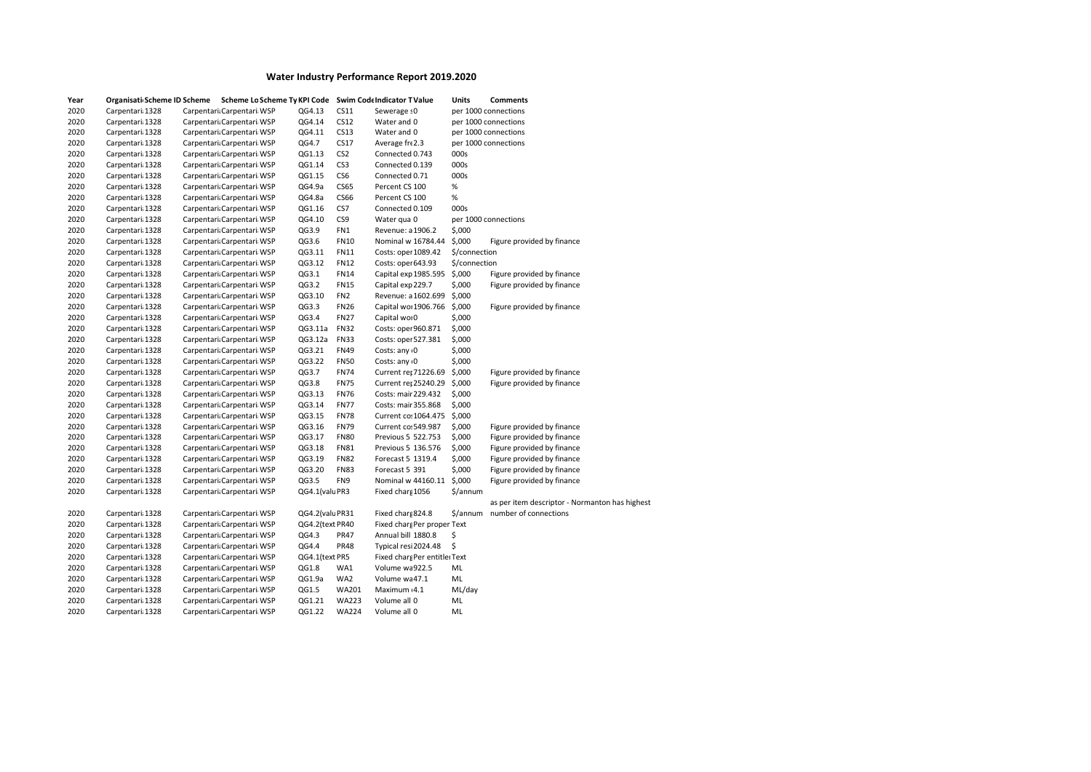| Year | Organisati Scheme ID Scheme | Scheme Lo Scheme Ty KPI Code |                 |                 | <b>Swim Code Indicator T Value</b> | Units         | Comments                                       |
|------|-----------------------------|------------------------------|-----------------|-----------------|------------------------------------|---------------|------------------------------------------------|
| 2020 | Carpentari: 1328            | Carpentari: Carpentari: WSP  | QG4.13          | CS11            | Sewerage : 0                       |               | per 1000 connections                           |
| 2020 | Carpentari: 1328            | Carpentari: Carpentari: WSP  | QG4.14          | CS12            | Water and 0                        |               | per 1000 connections                           |
| 2020 | Carpentari: 1328            | Carpentari: Carpentari: WSP  | QG4.11          | CS13            | Water and 0                        |               | per 1000 connections                           |
| 2020 | Carpentari 1328             | Carpentari: Carpentari: WSP  | QG4.7           | CS17            | Average fre2.3                     |               | per 1000 connections                           |
| 2020 | Carpentari: 1328            | Carpentari: Carpentari: WSP  | QG1.13          | CS <sub>2</sub> | Connected 0.743                    | 000s          |                                                |
| 2020 | Carpentari 1328             | Carpentari: Carpentari: WSP  | QG1.14          | CS <sub>3</sub> | Connected 0.139                    | 000s          |                                                |
| 2020 | Carpentari 1328             | Carpentari: Carpentari: WSP  | QG1.15          | CS <sub>6</sub> | Connected 0.71                     | 000s          |                                                |
| 2020 | Carpentari: 1328            | Carpentari: Carpentari: WSP  | QG4.9a          | <b>CS65</b>     | Percent CS 100                     | $\%$          |                                                |
| 2020 | Carpentari 1328             | Carpentari: Carpentari: WSP  | QG4.8a          | <b>CS66</b>     | Percent CS 100                     | %             |                                                |
| 2020 | Carpentari: 1328            | Carpentari: Carpentari: WSP  | QG1.16          | CS7             | Connected 0.109                    | 000s          |                                                |
| 2020 | Carpentari: 1328            | Carpentari: Carpentari: WSP  | QG4.10          | CS9             | Water qua 0                        |               | per 1000 connections                           |
| 2020 | Carpentari: 1328            | Carpentari: Carpentari: WSP  | QG3.9           | FN1             | Revenue: a 1906.2                  | \$,000        |                                                |
| 2020 | Carpentari: 1328            | Carpentari: Carpentari: WSP  | QG3.6           | <b>FN10</b>     | Nominal w 16784.44                 | \$,000        | Figure provided by finance                     |
| 2020 | Carpentari: 1328            | Carpentari: Carpentari: WSP  | QG3.11          | <b>FN11</b>     | Costs: oper 1089.42                | \$/connection |                                                |
| 2020 | Carpentari: 1328            | Carpentari: Carpentari: WSP  | QG3.12          | <b>FN12</b>     | Costs: oper 643.93                 | \$/connection |                                                |
| 2020 | Carpentari: 1328            | Carpentari: Carpentari: WSP  | QG3.1           | <b>FN14</b>     | Capital exp 1985.595 \$,000        |               | Figure provided by finance                     |
| 2020 | Carpentari: 1328            | Carpentari: Carpentari: WSP  | QG3.2           | <b>FN15</b>     | Capital exp 229.7                  | \$,000        | Figure provided by finance                     |
| 2020 | Carpentari 1328             | Carpentari: Carpentari: WSP  | QG3.10          | FN <sub>2</sub> | Revenue: a 1602.699                | \$,000        |                                                |
| 2020 | Carpentari: 1328            | Carpentari: Carpentari: WSP  | QG3.3           | <b>FN26</b>     | Capital wor 1906.766 \$,000        |               | Figure provided by finance                     |
| 2020 | Carpentari 1328             | Carpentari: Carpentari: WSP  | QG3.4           | <b>FN27</b>     | Capital wor0                       | \$,000        |                                                |
| 2020 | Carpentari: 1328            | Carpentari: Carpentari: WSP  | QG3.11a         | <b>FN32</b>     | Costs: oper 960.871                | \$,000        |                                                |
| 2020 |                             |                              | QG3.12a         | <b>FN33</b>     |                                    | \$,000        |                                                |
| 2020 | Carpentari: 1328            | Carpentari: Carpentari: WSP  | QG3.21          |                 | Costs: oper 527.381                |               |                                                |
|      | Carpentari 1328             | Carpentari: Carpentari: WSP  |                 | <b>FN49</b>     | Costs: any 0                       | \$,000        |                                                |
| 2020 | Carpentari: 1328            | Carpentari: Carpentari: WSP  | QG3.22          | <b>FN50</b>     | Costs: any 0                       | \$,000        |                                                |
| 2020 | Carpentari 1328             | Carpentari: Carpentari: WSP  | QG3.7           | <b>FN74</b>     | Current re; 71226.69               | \$,000        | Figure provided by finance                     |
| 2020 | Carpentari 1328             | Carpentari: Carpentari: WSP  | QG3.8           | <b>FN75</b>     | Current re: 25240.29               | \$,000        | Figure provided by finance                     |
| 2020 | Carpentari: 1328            | Carpentari: Carpentari: WSP  | QG3.13          | <b>FN76</b>     | Costs: mair 229.432                | \$,000        |                                                |
| 2020 | Carpentari: 1328            | Carpentari: Carpentari: WSP  | QG3.14          | <b>FN77</b>     | Costs: mair 355.868                | \$,000        |                                                |
| 2020 | Carpentari: 1328            | Carpentari: Carpentari: WSP  | QG3.15          | <b>FN78</b>     | Current co: 1064.475               | \$,000        |                                                |
| 2020 | Carpentari: 1328            | Carpentari: Carpentari: WSP  | QG3.16          | <b>FN79</b>     | Current co: 549.987                | \$,000        | Figure provided by finance                     |
| 2020 | Carpentari 1328             | Carpentari: Carpentari: WSP  | QG3.17          | <b>FN80</b>     | Previous 5 522.753                 | \$,000        | Figure provided by finance                     |
| 2020 | Carpentari: 1328            | Carpentari: Carpentari: WSP  | QG3.18          | <b>FN81</b>     | Previous 5 136.576                 | \$,000        | Figure provided by finance                     |
| 2020 | Carpentari 1328             | Carpentari: Carpentari: WSP  | QG3.19          | <b>FN82</b>     | Forecast 5 1319.4                  | \$,000        | Figure provided by finance                     |
| 2020 | Carpentari 1328             | Carpentari: Carpentari: WSP  | QG3.20          | <b>FN83</b>     | Forecast 5 391                     | \$,000        | Figure provided by finance                     |
| 2020 | Carpentari: 1328            | Carpentari: Carpentari: WSP  | QG3.5           | FN9             | Nominal w 44160.11                 | \$,000        | Figure provided by finance                     |
| 2020 | Carpentari: 1328            | Carpentari: Carpentari: WSP  | QG4.1(valuPR3   |                 | Fixed charg 1056                   | \$/annum      |                                                |
|      |                             |                              |                 |                 |                                    |               | as per item descriptor - Normanton has highest |
| 2020 | Carpentari: 1328            | Carpentari: Carpentari: WSP  | QG4.2(valuPR31  |                 | Fixed chars 824.8                  | \$/annum      | number of connections                          |
| 2020 | Carpentari: 1328            | Carpentari: Carpentari: WSP  | QG4.2(text PR40 |                 | Fixed charg Per proper Text        |               |                                                |
| 2020 | Carpentari: 1328            | Carpentari: Carpentari: WSP  | QG4.3           | <b>PR47</b>     | Annual bill 1880.8                 | \$            |                                                |
| 2020 | Carpentari: 1328            | Carpentari: Carpentari: WSP  | QG4.4           | <b>PR48</b>     | Typical resi 2024.48               | \$            |                                                |
| 2020 | Carpentari 1328             | Carpentari: Carpentari: WSP  | QG4.1(text PR5  |                 | Fixed chars Per entitle: Text      |               |                                                |
| 2020 | Carpentari: 1328            | Carpentari: Carpentari: WSP  | QG1.8           | WA1             | Volume wa922.5                     | ML            |                                                |
| 2020 | Carpentari: 1328            | Carpentari: Carpentari: WSP  | QG1.9a          | WA2             | Volume wa 47.1                     | ML            |                                                |
| 2020 | Carpentari 1328             | Carpentari: Carpentari: WSP  | QG1.5           | WA201           | Maximum 4.1                        | ML/day        |                                                |
| 2020 | Carpentari: 1328            | Carpentari: Carpentari: WSP  | QG1.21          | <b>WA223</b>    | Volume all 0                       | ML            |                                                |
| 2020 | Carpentari 1328             | Carpentari: Carpentari: WSP  | QG1.22          | <b>WA224</b>    | Volume all 0                       | ML            |                                                |